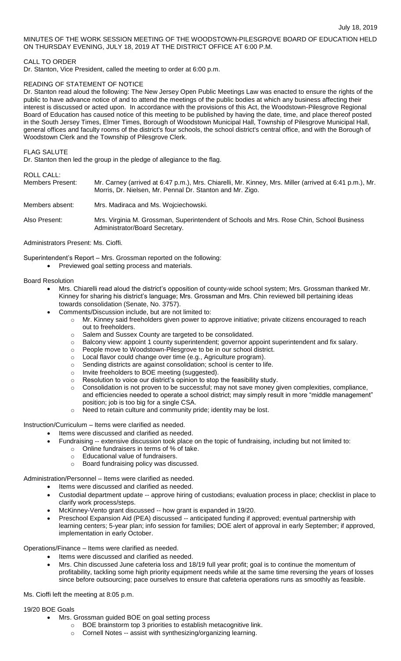MINUTES OF THE WORK SESSION MEETING OF THE WOODSTOWN-PILESGROVE BOARD OF EDUCATION HELD ON THURSDAY EVENING, JULY 18, 2019 AT THE DISTRICT OFFICE AT 6:00 P.M.

## CALL TO ORDER

Dr. Stanton, Vice President, called the meeting to order at 6:00 p.m.

# READING OF STATEMENT OF NOTICE

Dr. Stanton read aloud the following: The New Jersey Open Public Meetings Law was enacted to ensure the rights of the public to have advance notice of and to attend the meetings of the public bodies at which any business affecting their interest is discussed or acted upon. In accordance with the provisions of this Act, the Woodstown-Pilesgrove Regional Board of Education has caused notice of this meeting to be published by having the date, time, and place thereof posted in the South Jersey Times, Elmer Times, Borough of Woodstown Municipal Hall, Township of Pilesgrove Municipal Hall, general offices and faculty rooms of the district's four schools, the school district's central office, and with the Borough of Woodstown Clerk and the Township of Pilesgrove Clerk.

## FLAG SALUTE

Dr. Stanton then led the group in the pledge of allegiance to the flag.

ROLL CALL:

| Members Present: | Mr. Carney (arrived at 6:47 p.m.), Mrs. Chiarelli, Mr. Kinney, Mrs. Miller (arrived at 6:41 p.m.), Mr.<br>Morris, Dr. Nielsen, Mr. Pennal Dr. Stanton and Mr. Zigo. |
|------------------|---------------------------------------------------------------------------------------------------------------------------------------------------------------------|
| Members absent:  | Mrs. Madiraca and Ms. Wojciechowski.                                                                                                                                |
| Also Present:    | Mrs. Virginia M. Grossman, Superintendent of Schools and Mrs. Rose Chin, School Business<br>Administrator/Board Secretary.                                          |

#### Administrators Present: Ms. Cioffi.

Superintendent's Report – Mrs. Grossman reported on the following:

Previewed goal setting process and materials.

# Board Resolution

- Mrs. Chiarelli read aloud the district's opposition of county-wide school system; Mrs. Grossman thanked Mr. Kinney for sharing his district's language; Mrs. Grossman and Mrs. Chin reviewed bill pertaining ideas towards consolidation (Senate, No. 3757).
- Comments/Discussion include, but are not limited to:
	- o Mr. Kinney said freeholders given power to approve initiative; private citizens encouraged to reach out to freeholders.
	- o Salem and Sussex County are targeted to be consolidated.
	- o Balcony view: appoint 1 county superintendent; governor appoint superintendent and fix salary.
	- o People move to Woodstown-Pilesgrove to be in our school district.
	- o Local flavor could change over time (e.g., Agriculture program).
	- o Sending districts are against consolidation; school is center to life.
	- o Invite freeholders to BOE meeting (suggested).
	- o Resolution to voice our district's opinion to stop the feasibility study.
	- o Consolidation is not proven to be successful; may not save money given complexities, compliance, and efficiencies needed to operate a school district; may simply result in more "middle management" position; job is too big for a single CSA.
	- $\circ$  Need to retain culture and community pride; identity may be lost.

Instruction/Curriculum – Items were clarified as needed.

- Items were discussed and clarified as needed.
- Fundraising -- extensive discussion took place on the topic of fundraising, including but not limited to:
	- o Online fundraisers in terms of % of take.
	- o Educational value of fundraisers.
	- o Board fundraising policy was discussed.

Administration/Personnel – Items were clarified as needed.

- Items were discussed and clarified as needed.
- Custodial department update -- approve hiring of custodians; evaluation process in place; checklist in place to clarify work process/steps.
- McKinney-Vento grant discussed -- how grant is expanded in 19/20.
- Preschool Expansion Aid (PEA) discussed -- anticipated funding if approved; eventual partnership with learning centers; 5-year plan; info session for families; DOE alert of approval in early September; if approved, implementation in early October.

Operations/Finance – Items were clarified as needed.

- Items were discussed and clarified as needed.
- Mrs. Chin discussed June cafeteria loss and 18/19 full year profit; goal is to continue the momentum of profitability, tackling some high priority equipment needs while at the same time reversing the years of losses since before outsourcing; pace ourselves to ensure that cafeteria operations runs as smoothly as feasible.

Ms. Cioffi left the meeting at 8:05 p.m.

19/20 BOE Goals

- Mrs. Grossman guided BOE on goal setting process
	- o BOE brainstorm top 3 priorities to establish metacognitive link.
	- o Cornell Notes -- assist with synthesizing/organizing learning.